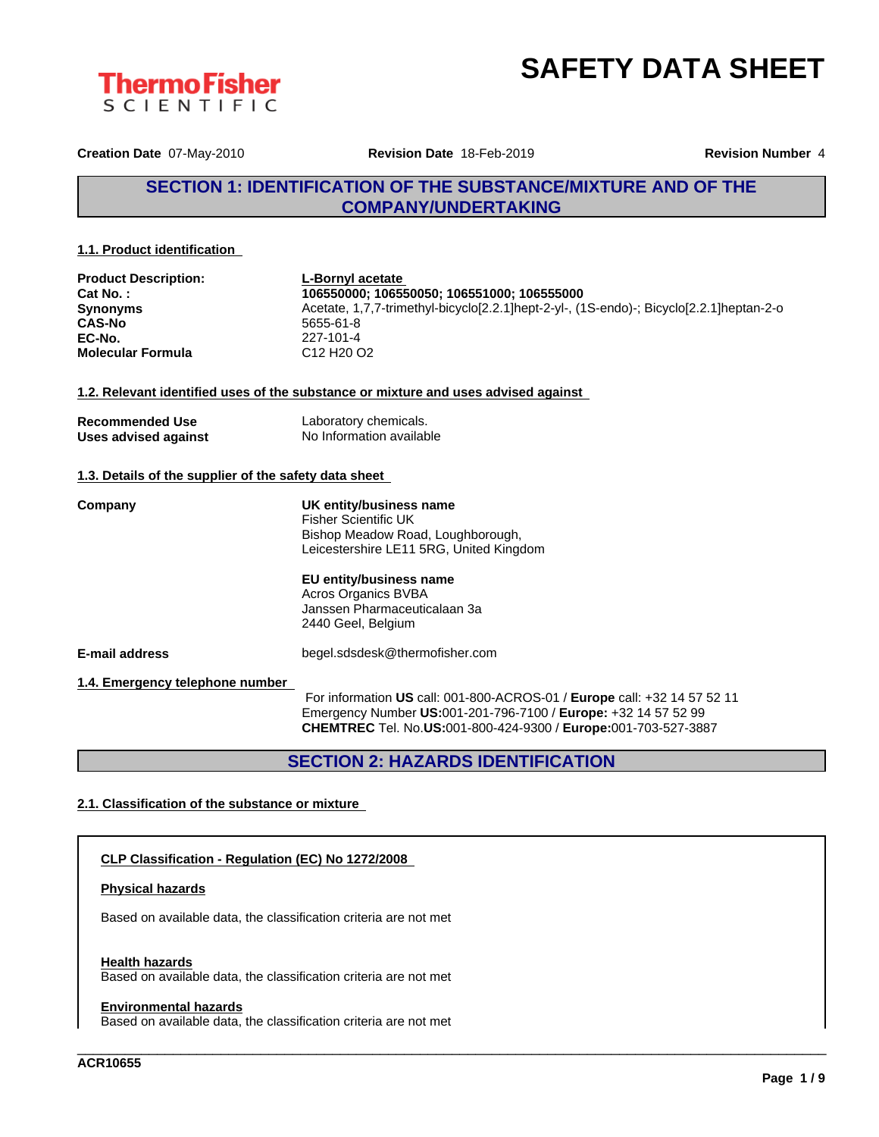



**Creation Date** 07-May-2010 **Revision Date** 18-Feb-2019 **Revision Number** 4

# **SECTION 1: IDENTIFICATION OF THE SUBSTANCE/MIXTURE AND OF THE COMPANY/UNDERTAKING**

#### **1.1. Product identification**

| <b>Product Description:</b><br>Cat No.:<br>Synonyms<br><b>CAS-No</b><br>EC-No.<br><b>Molecular Formula</b> | <b>L-Bornyl acetate</b><br>106550000; 106550050; 106551000; 106555000<br>Acetate, 1,7,7-trimethyl-bicyclo[2.2.1]hept-2-yl-, (1S-endo)-; Bicyclo[2.2.1]heptan-2-o<br>5655-61-8<br>227-101-4<br>C <sub>12</sub> H <sub>20</sub> O <sub>2</sub> |
|------------------------------------------------------------------------------------------------------------|----------------------------------------------------------------------------------------------------------------------------------------------------------------------------------------------------------------------------------------------|
|                                                                                                            | 1.2. Relevant identified uses of the substance or mixture and uses advised against                                                                                                                                                           |
| <b>Recommended Use</b><br>Uses advised against                                                             | Laboratory chemicals.<br>No Information available                                                                                                                                                                                            |
| 1.3. Details of the supplier of the safety data sheet                                                      |                                                                                                                                                                                                                                              |
| Company                                                                                                    | UK entity/business name<br><b>Fisher Scientific UK</b><br>Bishop Meadow Road, Loughborough,<br>Leicestershire LE11 5RG, United Kingdom                                                                                                       |
|                                                                                                            | EU entity/business name<br>Acros Organics BVBA<br>Janssen Pharmaceuticalaan 3a<br>2440 Geel, Belgium                                                                                                                                         |
| <b>E-mail address</b>                                                                                      | begel.sdsdesk@thermofisher.com                                                                                                                                                                                                               |
| 1.4. Emergency telephone number                                                                            | For information US call: 001-800-ACROS-01 / Europe call: +32 14 57 52 11<br>Emergency Number US:001-201-796-7100 / Europe: +32 14 57 52 99<br>CHEMTREC Tel. No.US:001-800-424-9300 / Europe:001-703-527-3887                                 |

# **SECTION 2: HAZARDS IDENTIFICATION**

\_\_\_\_\_\_\_\_\_\_\_\_\_\_\_\_\_\_\_\_\_\_\_\_\_\_\_\_\_\_\_\_\_\_\_\_\_\_\_\_\_\_\_\_\_\_\_\_\_\_\_\_\_\_\_\_\_\_\_\_\_\_\_\_\_\_\_\_\_\_\_\_\_\_\_\_\_\_\_\_\_\_\_\_\_\_\_\_\_\_\_\_\_\_

### **2.1. Classification of the substance or mixture**

#### **CLP Classification - Regulation (EC) No 1272/2008**

### **Physical hazards**

Based on available data, the classification criteria are not met

#### **Health hazards**

Based on available data, the classification criteria are not met

#### **Environmental hazards**

Based on available data, the classification criteria are not met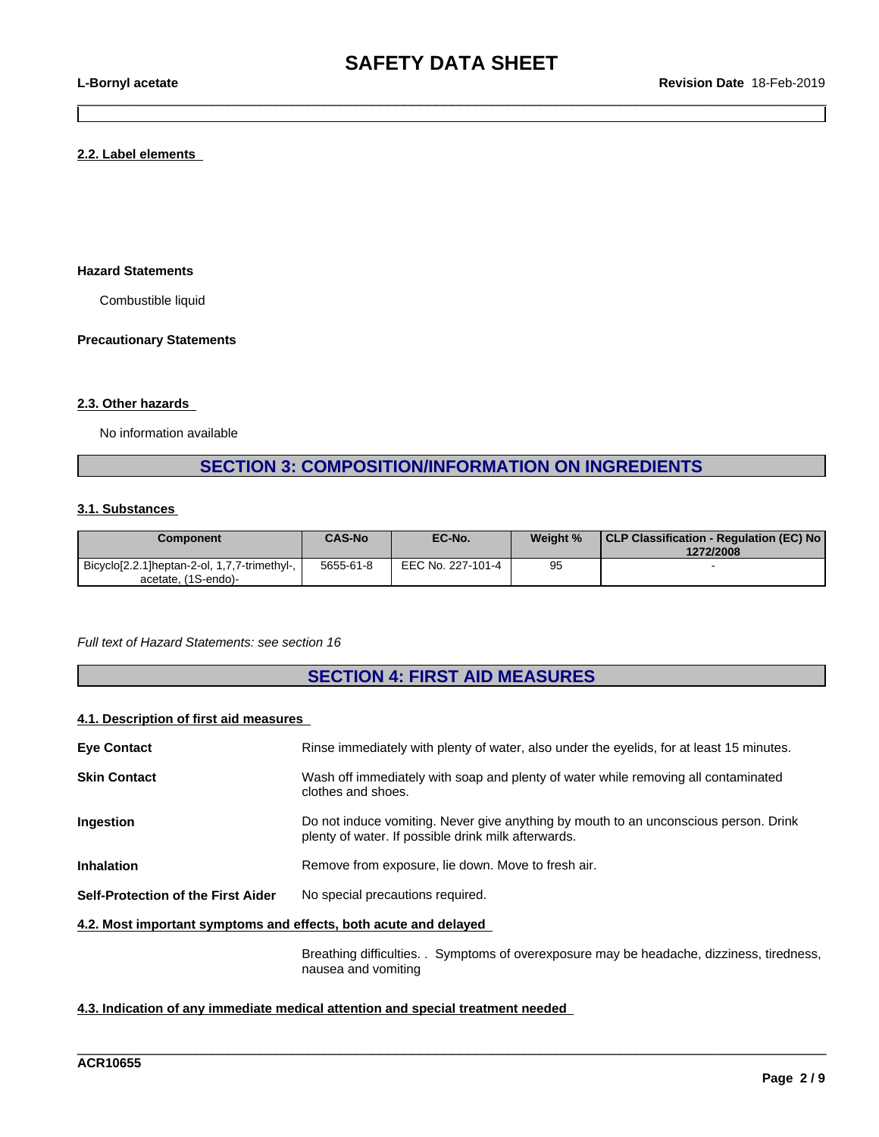$\_$  ,  $\_$  ,  $\_$  ,  $\_$  ,  $\_$  ,  $\_$  ,  $\_$  ,  $\_$  ,  $\_$  ,  $\_$  ,  $\_$  ,  $\_$  ,  $\_$  ,  $\_$  ,  $\_$  ,  $\_$  ,  $\_$  ,  $\_$  ,  $\_$  ,  $\_$  ,  $\_$  ,  $\_$  ,  $\_$  ,  $\_$  ,  $\_$  ,  $\_$  ,  $\_$  ,  $\_$  ,  $\_$  ,  $\_$  ,  $\_$  ,  $\_$  ,  $\_$  ,  $\_$  ,  $\_$  ,  $\_$  ,  $\_$  ,

#### **2.2. Label elements**

### **Hazard Statements**

Combustible liquid

#### **Precautionary Statements**

#### **2.3. Other hazards**

No information available

# **SECTION 3: COMPOSITION/INFORMATION ON INGREDIENTS**

#### **3.1. Substances**

| Component                                    | <b>CAS-No</b> | EC-No.            | Weight % | CLP Classification - Regulation (EC) No  <br>1272/2008 |
|----------------------------------------------|---------------|-------------------|----------|--------------------------------------------------------|
| Bicyclo[2.2.1]heptan-2-ol, 1,7,7-trimethyl-, | 5655-61-8     | EEC No. 227-101-4 | 95       |                                                        |
| acetate, (1S-endo)-                          |               |                   |          |                                                        |

#### *Full text of Hazard Statements: see section 16*

# **SECTION 4: FIRST AID MEASURES**

### **4.1. Description of first aid measures**

| <b>Eye Contact</b>                                               | Rinse immediately with plenty of water, also under the eyelids, for at least 15 minutes.                                                    |
|------------------------------------------------------------------|---------------------------------------------------------------------------------------------------------------------------------------------|
| <b>Skin Contact</b>                                              | Wash off immediately with soap and plenty of water while removing all contaminated<br>clothes and shoes.                                    |
| Ingestion                                                        | Do not induce vomiting. Never give anything by mouth to an unconscious person. Drink<br>plenty of water. If possible drink milk afterwards. |
| <b>Inhalation</b>                                                | Remove from exposure, lie down. Move to fresh air.                                                                                          |
| Self-Protection of the First Aider                               | No special precautions required.                                                                                                            |
| 4.2. Most important symptoms and effects, both acute and delayed |                                                                                                                                             |
|                                                                  | Symptome of overexposure may be headache dizziness tiredness<br><b>Rroothing difficulties</b>                                               |

Breathing difficulties. . Symptoms of overexposure may be headache, dizziness, tiredness, nausea and vomiting

\_\_\_\_\_\_\_\_\_\_\_\_\_\_\_\_\_\_\_\_\_\_\_\_\_\_\_\_\_\_\_\_\_\_\_\_\_\_\_\_\_\_\_\_\_\_\_\_\_\_\_\_\_\_\_\_\_\_\_\_\_\_\_\_\_\_\_\_\_\_\_\_\_\_\_\_\_\_\_\_\_\_\_\_\_\_\_\_\_\_\_\_\_\_

#### **4.3. Indication of any immediate medical attention and special treatment needed**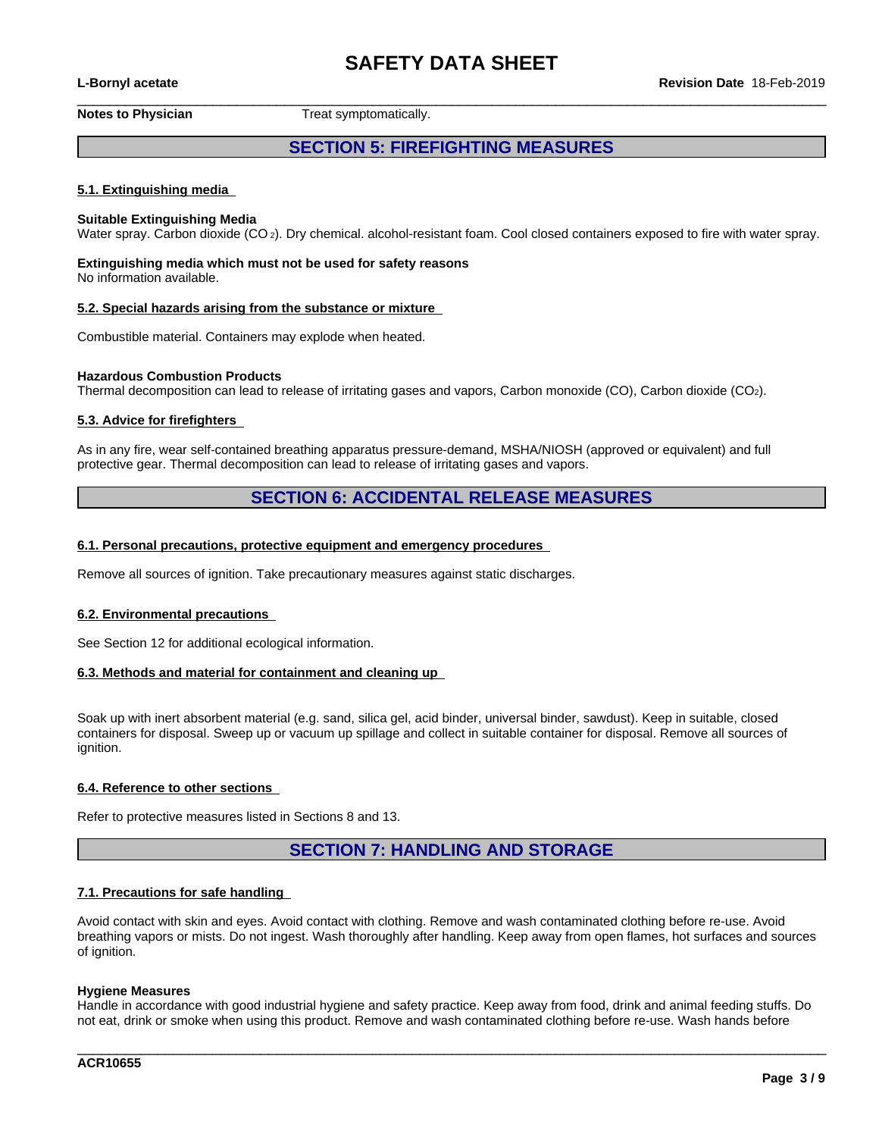**L-Bornyl acetate Revision Date** 18-Feb-2019

 $\_$  ,  $\_$  ,  $\_$  ,  $\_$  ,  $\_$  ,  $\_$  ,  $\_$  ,  $\_$  ,  $\_$  ,  $\_$  ,  $\_$  ,  $\_$  ,  $\_$  ,  $\_$  ,  $\_$  ,  $\_$  ,  $\_$  ,  $\_$  ,  $\_$  ,  $\_$  ,  $\_$  ,  $\_$  ,  $\_$  ,  $\_$  ,  $\_$  ,  $\_$  ,  $\_$  ,  $\_$  ,  $\_$  ,  $\_$  ,  $\_$  ,  $\_$  ,  $\_$  ,  $\_$  ,  $\_$  ,  $\_$  ,  $\_$  , **Notes to Physician** Treat symptomatically.

# **SECTION 5: FIREFIGHTING MEASURES**

### **5.1. Extinguishing media**

#### **Suitable Extinguishing Media**

Water spray. Carbon dioxide (CO<sub>2</sub>). Dry chemical. alcohol-resistant foam. Cool closed containers exposed to fire with water spray.

# **Extinguishing media which must not be used for safety reasons**

No information available.

#### **5.2. Special hazards arising from the substance or mixture**

Combustible material. Containers may explode when heated.

#### **Hazardous Combustion Products**

Thermal decomposition can lead to release of irritating gases and vapors, Carbon monoxide (CO), Carbon dioxide (CO2).

#### **5.3. Advice for firefighters**

As in any fire, wear self-contained breathing apparatus pressure-demand, MSHA/NIOSH (approved or equivalent) and full protective gear. Thermal decomposition can lead to release of irritating gases and vapors.

## **SECTION 6: ACCIDENTAL RELEASE MEASURES**

#### **6.1. Personal precautions, protective equipment and emergency procedures**

Remove all sources of ignition. Take precautionary measures against static discharges.

#### **6.2. Environmental precautions**

See Section 12 for additional ecological information.

#### **6.3. Methods and material for containment and cleaning up**

Soak up with inert absorbent material (e.g. sand, silica gel, acid binder, universal binder, sawdust). Keep in suitable, closed containers for disposal. Sweep up or vacuum up spillage and collect in suitable container for disposal. Remove all sources of ignition.

#### **6.4. Reference to other sections**

Refer to protective measures listed in Sections 8 and 13.

## **SECTION 7: HANDLING AND STORAGE**

#### **7.1. Precautions for safe handling**

Avoid contact with skin and eyes. Avoid contact with clothing. Remove and wash contaminated clothing before re-use. Avoid breathing vapors or mists. Do not ingest. Wash thoroughly after handling. Keep away from open flames, hot surfaces and sources of ianition.

#### **Hygiene Measures**

Handle in accordance with good industrial hygiene and safety practice. Keep away from food, drink and animal feeding stuffs. Do not eat, drink or smoke when using this product. Remove and wash contaminated clothing before re-use. Wash hands before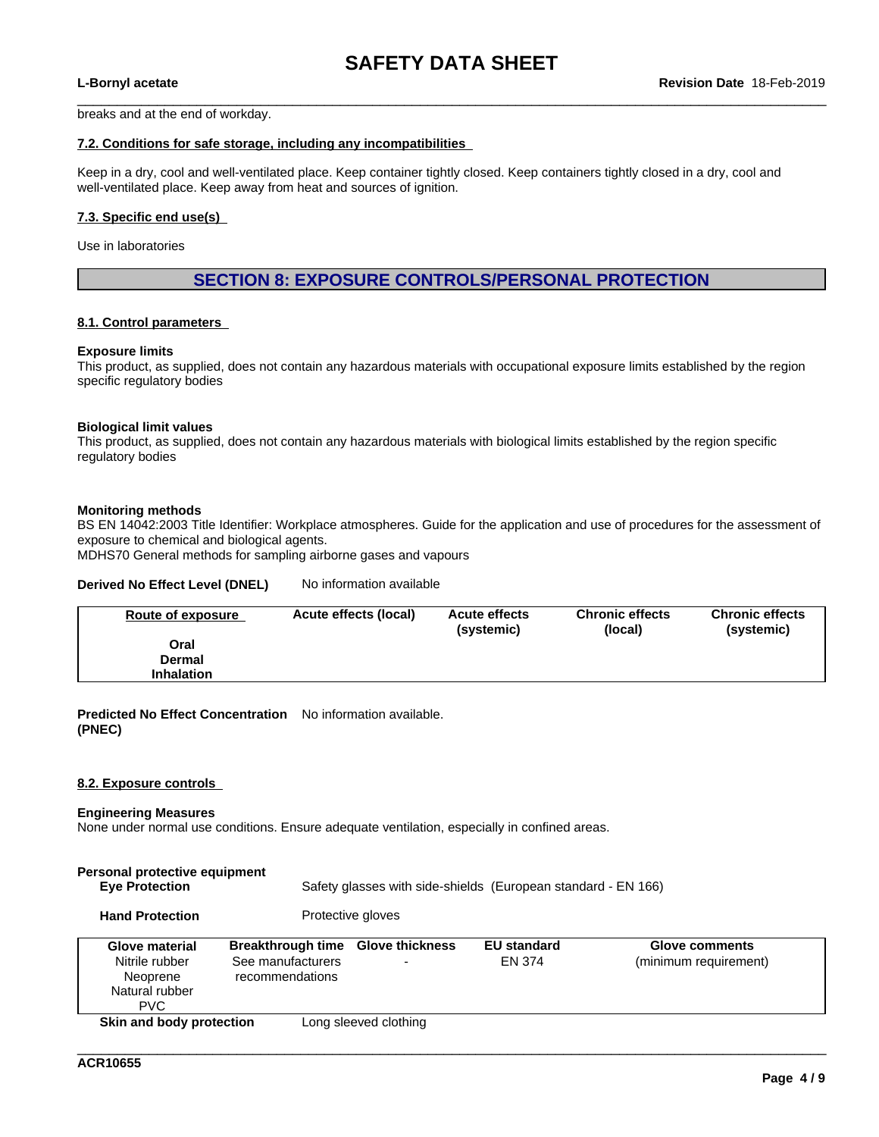$\_$  ,  $\_$  ,  $\_$  ,  $\_$  ,  $\_$  ,  $\_$  ,  $\_$  ,  $\_$  ,  $\_$  ,  $\_$  ,  $\_$  ,  $\_$  ,  $\_$  ,  $\_$  ,  $\_$  ,  $\_$  ,  $\_$  ,  $\_$  ,  $\_$  ,  $\_$  ,  $\_$  ,  $\_$  ,  $\_$  ,  $\_$  ,  $\_$  ,  $\_$  ,  $\_$  ,  $\_$  ,  $\_$  ,  $\_$  ,  $\_$  ,  $\_$  ,  $\_$  ,  $\_$  ,  $\_$  ,  $\_$  ,  $\_$  ,

breaks and at the end of workday.

#### **7.2. Conditions for safe storage, including any incompatibilities**

Keep in a dry, cool and well-ventilated place. Keep container tightly closed. Keep containers tightly closed in a dry, cool and well-ventilated place. Keep away from heat and sources of ignition.

#### **7.3. Specific end use(s)**

Use in laboratories

## **SECTION 8: EXPOSURE CONTROLS/PERSONAL PROTECTION**

### **8.1. Control parameters**

#### **Exposure limits**

This product, as supplied, does not contain any hazardous materials with occupational exposure limits established by the region specific regulatory bodies

#### **Biological limit values**

This product, as supplied, does not contain any hazardous materials with biological limits established by the region specific regulatory bodies

#### **Monitoring methods**

BS EN 14042:2003 Title Identifier: Workplace atmospheres. Guide for the application and use of procedures for the assessment of exposure to chemical and biological agents.

MDHS70 General methods for sampling airborne gases and vapours

#### **Derived No Effect Level (DNEL)** No information available

| Route of exposure | Acute effects (local) | <b>Acute effects</b><br>(systemic) | <b>Chronic effects</b><br>(local) | <b>Chronic effects</b><br>(systemic) |
|-------------------|-----------------------|------------------------------------|-----------------------------------|--------------------------------------|
| Oral              |                       |                                    |                                   |                                      |
| Dermal            |                       |                                    |                                   |                                      |
| <b>Inhalation</b> |                       |                                    |                                   |                                      |

**Predicted No Effect Concentration** No information available. **(PNEC)**

#### **8.2. Exposure controls**

#### **Engineering Measures**

None under normal use conditions. Ensure adequate ventilation, especially in confined areas.

| Personal protective equipment<br><b>Eye Protection</b>                       |                                                                  |                        | Safety glasses with side-shields (European standard - EN 166) |                                                |
|------------------------------------------------------------------------------|------------------------------------------------------------------|------------------------|---------------------------------------------------------------|------------------------------------------------|
| <b>Hand Protection</b>                                                       |                                                                  | Protective gloves      |                                                               |                                                |
| Glove material<br>Nitrile rubber<br>Neoprene<br>Natural rubber<br><b>PVC</b> | <b>Breakthrough time</b><br>See manufacturers<br>recommendations | <b>Glove thickness</b> | <b>EU</b> standard<br>EN 374                                  | <b>Glove comments</b><br>(minimum requirement) |
| Skin and body protection                                                     |                                                                  | Long sleeved clothing  |                                                               |                                                |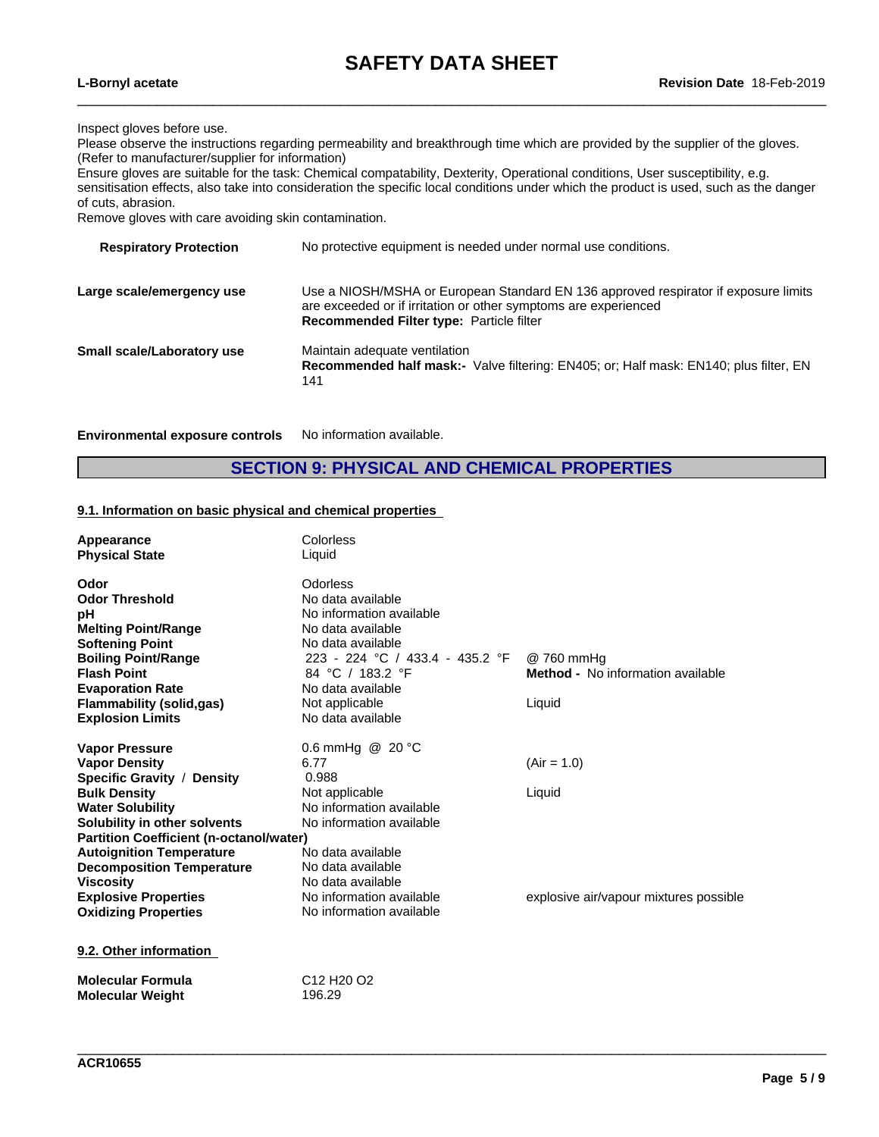$\_$  ,  $\_$  ,  $\_$  ,  $\_$  ,  $\_$  ,  $\_$  ,  $\_$  ,  $\_$  ,  $\_$  ,  $\_$  ,  $\_$  ,  $\_$  ,  $\_$  ,  $\_$  ,  $\_$  ,  $\_$  ,  $\_$  ,  $\_$  ,  $\_$  ,  $\_$  ,  $\_$  ,  $\_$  ,  $\_$  ,  $\_$  ,  $\_$  ,  $\_$  ,  $\_$  ,  $\_$  ,  $\_$  ,  $\_$  ,  $\_$  ,  $\_$  ,  $\_$  ,  $\_$  ,  $\_$  ,  $\_$  ,  $\_$  ,

Inspect gloves before use.

Please observe the instructions regarding permeability and breakthrough time which are provided by the supplier of the gloves. (Refer to manufacturer/supplier for information)

Ensure gloves are suitable for the task: Chemical compatability, Dexterity, Operational conditions, User susceptibility, e.g. sensitisation effects, also take into consideration the specific local conditions under which the product is used, such as the danger of cuts, abrasion.

Remove gloves with care avoiding skin contamination.

| No protective equipment is needed under normal use conditions.                                                                                                                                            |
|-----------------------------------------------------------------------------------------------------------------------------------------------------------------------------------------------------------|
| Use a NIOSH/MSHA or European Standard EN 136 approved respirator if exposure limits<br>are exceeded or if irritation or other symptoms are experienced<br><b>Recommended Filter type: Particle filter</b> |
| Maintain adequate ventilation<br>Recommended half mask:- Valve filtering: EN405; or; Half mask: EN140; plus filter, EN<br>141                                                                             |
|                                                                                                                                                                                                           |

**Environmental exposure controls** No information available.

# **SECTION 9: PHYSICAL AND CHEMICAL PROPERTIES**

#### **9.1. Information on basic physical and chemical properties**

| Appearance                                     | Colorless                                      |                                        |
|------------------------------------------------|------------------------------------------------|----------------------------------------|
| <b>Physical State</b>                          | Liquid                                         |                                        |
|                                                |                                                |                                        |
| Odor                                           | Odorless                                       |                                        |
| <b>Odor Threshold</b>                          | No data available                              |                                        |
| рH                                             | No information available                       |                                        |
| <b>Melting Point/Range</b>                     | No data available                              |                                        |
| <b>Softening Point</b>                         | No data available                              |                                        |
| <b>Boiling Point/Range</b>                     | 223 - 224 °C / 433.4 - 435.2 °F                | @ 760 mmHq                             |
| <b>Flash Point</b>                             | 84 °C / 183.2 °F                               | Method - No information available      |
| <b>Evaporation Rate</b>                        | No data available                              |                                        |
| <b>Flammability (solid,gas)</b>                | Not applicable                                 | Liquid                                 |
| <b>Explosion Limits</b>                        | No data available                              |                                        |
| <b>Vapor Pressure</b>                          | 0.6 mmHg @ 20 °C                               |                                        |
| <b>Vapor Density</b>                           | 6.77                                           | $(Air = 1.0)$                          |
| Specific Gravity / Density                     | 0.988                                          |                                        |
| <b>Bulk Density</b>                            | Not applicable                                 | Liquid                                 |
| <b>Water Solubility</b>                        | No information available                       |                                        |
| Solubility in other solvents                   | No information available                       |                                        |
| <b>Partition Coefficient (n-octanol/water)</b> |                                                |                                        |
| <b>Autoignition Temperature</b>                | No data available                              |                                        |
| <b>Decomposition Temperature</b>               | No data available                              |                                        |
| <b>Viscosity</b>                               | No data available                              |                                        |
| <b>Explosive Properties</b>                    | No information available                       | explosive air/vapour mixtures possible |
| <b>Oxidizing Properties</b>                    | No information available                       |                                        |
|                                                |                                                |                                        |
| 9.2. Other information                         |                                                |                                        |
| <b>Molecular Formula</b>                       | C <sub>12</sub> H <sub>20</sub> O <sub>2</sub> |                                        |
| <b>Molecular Weight</b>                        | 196.29                                         |                                        |
|                                                |                                                |                                        |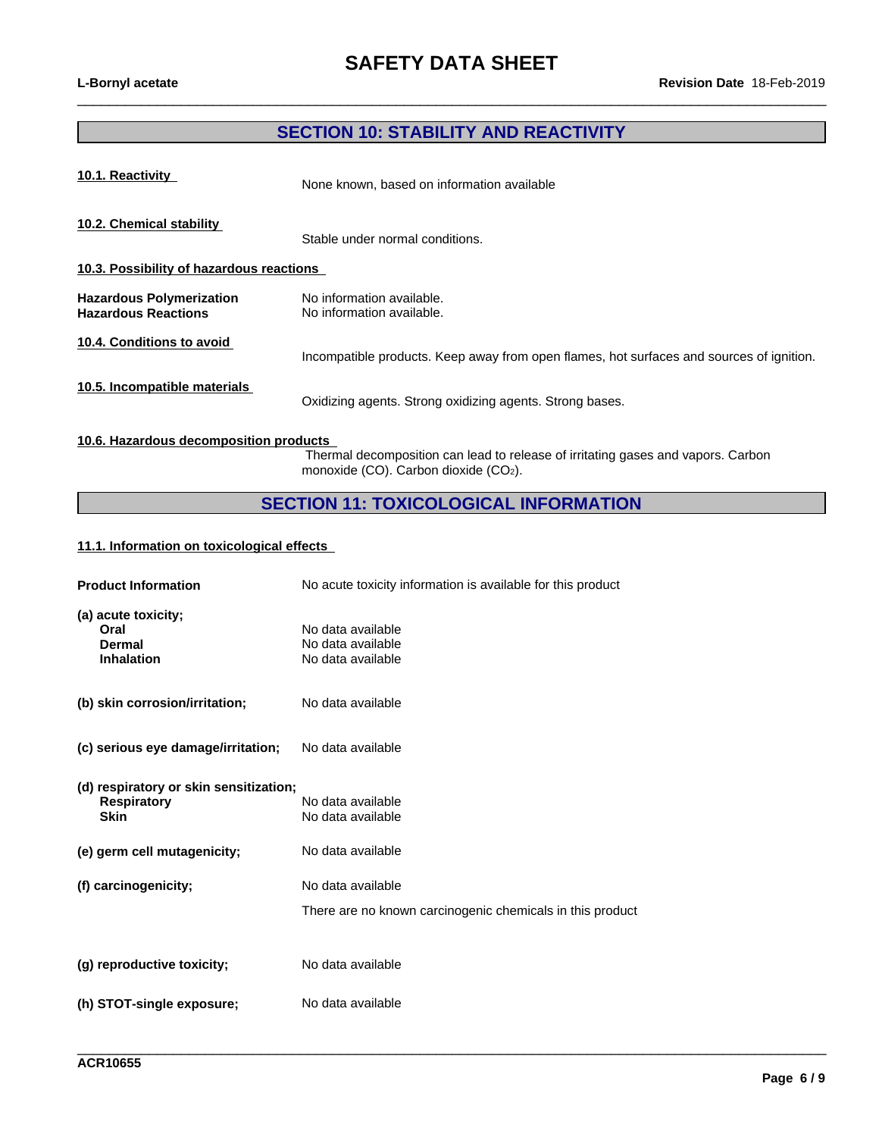# **SECTION 10: STABILITY AND REACTIVITY**

 $\_$  ,  $\_$  ,  $\_$  ,  $\_$  ,  $\_$  ,  $\_$  ,  $\_$  ,  $\_$  ,  $\_$  ,  $\_$  ,  $\_$  ,  $\_$  ,  $\_$  ,  $\_$  ,  $\_$  ,  $\_$  ,  $\_$  ,  $\_$  ,  $\_$  ,  $\_$  ,  $\_$  ,  $\_$  ,  $\_$  ,  $\_$  ,  $\_$  ,  $\_$  ,  $\_$  ,  $\_$  ,  $\_$  ,  $\_$  ,  $\_$  ,  $\_$  ,  $\_$  ,  $\_$  ,  $\_$  ,  $\_$  ,  $\_$  ,

| 10.1. Reactivity                                              | None known, based on information available                                               |
|---------------------------------------------------------------|------------------------------------------------------------------------------------------|
| 10.2. Chemical stability                                      | Stable under normal conditions.                                                          |
| 10.3. Possibility of hazardous reactions                      |                                                                                          |
| <b>Hazardous Polymerization</b><br><b>Hazardous Reactions</b> | No information available.<br>No information available.                                   |
| 10.4. Conditions to avoid                                     | Incompatible products. Keep away from open flames, hot surfaces and sources of ignition. |
| 10.5. Incompatible materials                                  | Oxidizing agents. Strong oxidizing agents. Strong bases.                                 |

### **10.6. Hazardous decomposition products**

Thermal decomposition can lead to release of irritating gases and vapors. Carbon monoxide (CO). Carbon dioxide (CO2).

\_\_\_\_\_\_\_\_\_\_\_\_\_\_\_\_\_\_\_\_\_\_\_\_\_\_\_\_\_\_\_\_\_\_\_\_\_\_\_\_\_\_\_\_\_\_\_\_\_\_\_\_\_\_\_\_\_\_\_\_\_\_\_\_\_\_\_\_\_\_\_\_\_\_\_\_\_\_\_\_\_\_\_\_\_\_\_\_\_\_\_\_\_\_

# **SECTION 11: TOXICOLOGICAL INFORMATION**

## **11.1. Information on toxicologicaleffects**

| <b>Product Information</b>                                                  | No acute toxicity information is available for this product                    |
|-----------------------------------------------------------------------------|--------------------------------------------------------------------------------|
| (a) acute toxicity;<br>Oral<br><b>Dermal</b><br><b>Inhalation</b>           | No data available<br>No data available<br>No data available                    |
| (b) skin corrosion/irritation;                                              | No data available                                                              |
| (c) serious eye damage/irritation;                                          | No data available                                                              |
| (d) respiratory or skin sensitization;<br><b>Respiratory</b><br><b>Skin</b> | No data available<br>No data available                                         |
| (e) germ cell mutagenicity;                                                 | No data available                                                              |
| (f) carcinogenicity;                                                        | No data available<br>There are no known carcinogenic chemicals in this product |
| (g) reproductive toxicity;                                                  | No data available                                                              |
| (h) STOT-single exposure;                                                   | No data available                                                              |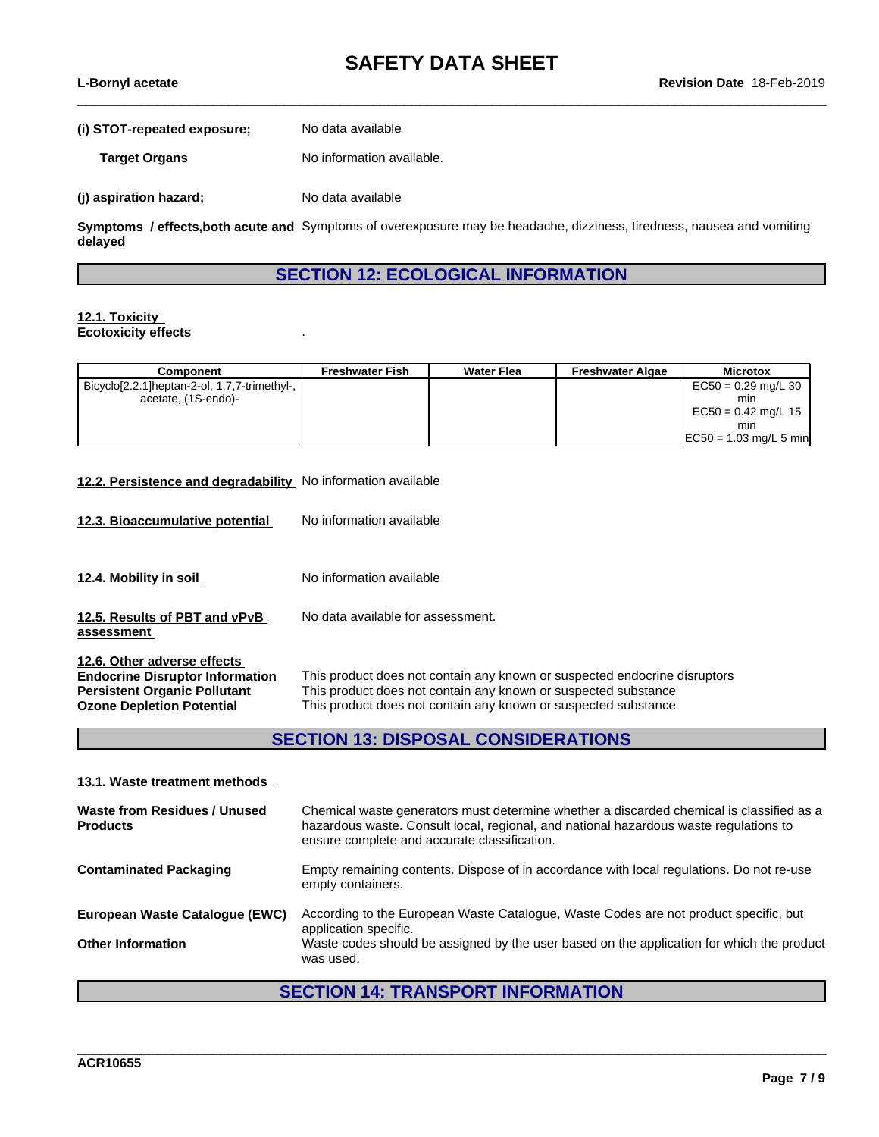$\_$  ,  $\_$  ,  $\_$  ,  $\_$  ,  $\_$  ,  $\_$  ,  $\_$  ,  $\_$  ,  $\_$  ,  $\_$  ,  $\_$  ,  $\_$  ,  $\_$  ,  $\_$  ,  $\_$  ,  $\_$  ,  $\_$  ,  $\_$  ,  $\_$  ,  $\_$  ,  $\_$  ,  $\_$  ,  $\_$  ,  $\_$  ,  $\_$  ,  $\_$  ,  $\_$  ,  $\_$  ,  $\_$  ,  $\_$  ,  $\_$  ,  $\_$  ,  $\_$  ,  $\_$  ,  $\_$  ,  $\_$  ,  $\_$  ,

| L-Bornyl acetate |  |
|------------------|--|
|------------------|--|

| (i) STOT-repeated exposure; | No data available         |
|-----------------------------|---------------------------|
| <b>Target Organs</b>        | No information available. |
| (j) aspiration hazard;      | No data available         |

**Symptoms / effects,both acute and** Symptoms of overexposure may be headache, dizziness, tiredness, nausea and vomiting **delayed**

## **SECTION 12: ECOLOGICAL INFORMATION**

#### **12.1. Toxicity Ecotoxicity effects** .

| Component                                     | Freshwater Fish | <b>Water Flea</b> | <b>Freshwater Algae</b> | <b>Microtox</b>          |
|-----------------------------------------------|-----------------|-------------------|-------------------------|--------------------------|
| Bicyclo[2.2.1] heptan-2-ol, 1,7,7-trimethyl-, |                 |                   |                         | $EC50 = 0.29$ mg/L 30    |
| acetate, (1S-endo)-                           |                 |                   |                         | min                      |
|                                               |                 |                   |                         | EC50 = $0.42$ mg/L 15    |
|                                               |                 |                   |                         | min                      |
|                                               |                 |                   |                         | $EC50 = 1.03$ mg/L 5 min |

#### **12.2. Persistence and degradability** No information available

- **12.3. Bioaccumulative potential** No information available
- **12.4. Mobility in soil** No information available
- **12.5. Results of PBT and vPvB** No data available for assessment.

**assessment**

**12.6. Other adverse effects**

**Endocrine Disruptor Information** This product does not contain any known or suspected endocrine disruptors **Persistent Organic Pollutant** This product does not contain any known or suspected substance **Persistent Organic Pollutant** This product does not contain any known or suspected substance<br> **Ozone Depletion Potential** This product does not contain any known or suspected substance This product does not contain any known or suspected substance

\_\_\_\_\_\_\_\_\_\_\_\_\_\_\_\_\_\_\_\_\_\_\_\_\_\_\_\_\_\_\_\_\_\_\_\_\_\_\_\_\_\_\_\_\_\_\_\_\_\_\_\_\_\_\_\_\_\_\_\_\_\_\_\_\_\_\_\_\_\_\_\_\_\_\_\_\_\_\_\_\_\_\_\_\_\_\_\_\_\_\_\_\_\_

# **SECTION 13: DISPOSAL CONSIDERATIONS**

| 13.1. Waste treatment methods                   |                                                                                                                                                                                                                                   |
|-------------------------------------------------|-----------------------------------------------------------------------------------------------------------------------------------------------------------------------------------------------------------------------------------|
| Waste from Residues / Unused<br><b>Products</b> | Chemical waste generators must determine whether a discarded chemical is classified as a<br>hazardous waste. Consult local, regional, and national hazardous waste regulations to<br>ensure complete and accurate classification. |
| <b>Contaminated Packaging</b>                   | Empty remaining contents. Dispose of in accordance with local regulations. Do not re-use<br>empty containers.                                                                                                                     |
| European Waste Catalogue (EWC)                  | According to the European Waste Catalogue, Waste Codes are not product specific, but<br>application specific.                                                                                                                     |
| <b>Other Information</b>                        | Waste codes should be assigned by the user based on the application for which the product<br>was used.                                                                                                                            |

# **SECTION 14: TRANSPORT INFORMATION**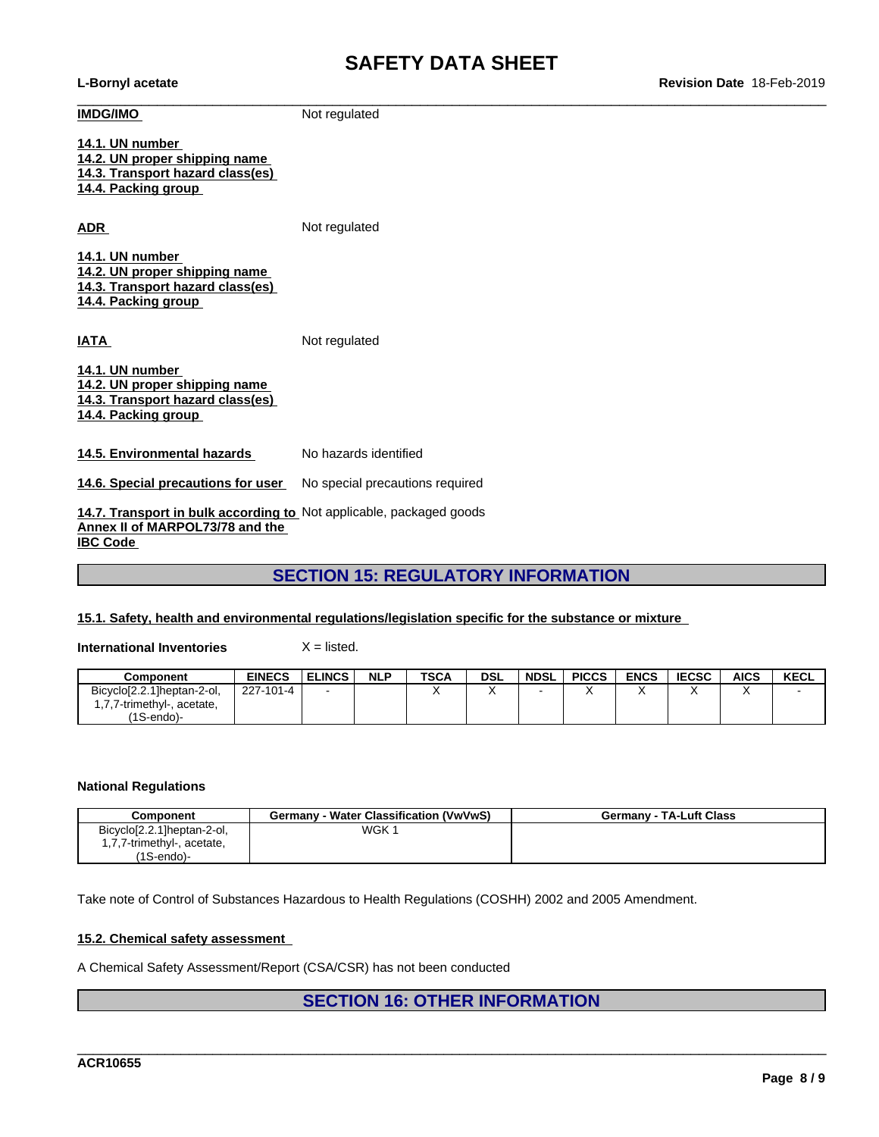**L-Bornyl acetate Revision Date** 18-Feb-2019

| <b>IMDG/IMO</b>                                                                                                           | Not regulated                   |
|---------------------------------------------------------------------------------------------------------------------------|---------------------------------|
| 14.1. UN number<br>14.2. UN proper shipping name<br>14.3. Transport hazard class(es)<br>14.4. Packing group               |                                 |
| <b>ADR</b>                                                                                                                | Not regulated                   |
| 14.1. UN number<br>14.2. UN proper shipping name<br>14.3. Transport hazard class(es)<br>14.4. Packing group               |                                 |
| <b>IATA</b>                                                                                                               | Not regulated                   |
| 14.1. UN number<br>14.2. UN proper shipping name<br>14.3. Transport hazard class(es)<br>14.4. Packing group               |                                 |
| 14.5. Environmental hazards                                                                                               | No hazards identified           |
| 14.6. Special precautions for user                                                                                        | No special precautions required |
| 14.7. Transport in bulk according to Not applicable, packaged goods<br>Annex II of MARPOL73/78 and the<br><b>IBC Code</b> |                                 |

# **SECTION 15: REGULATORY INFORMATION**

### **15.1. Safety, health and environmental regulations/legislation specific for the substance or mixture**

**International Inventories** X = listed.

| Component                   | <b>EINECS</b> | <b>ELINCS</b>            | <b>NLP</b> | <b>TSCA</b> | <b>DSL</b> | <b>NDSL</b> | <b>PICCS</b> | <b>ENCS</b> | <b>IECSC</b> | <b>AICS</b> | <b>KECL</b>              |
|-----------------------------|---------------|--------------------------|------------|-------------|------------|-------------|--------------|-------------|--------------|-------------|--------------------------|
| Bicyclo[2.2.1]heptan-2-ol,  | 227-101-4     | $\overline{\phantom{0}}$ |            |             |            |             | , ,          |             |              |             | $\overline{\phantom{0}}$ |
| 7,7-trimethyl-,<br>acetate, |               |                          |            |             |            |             |              |             |              |             |                          |
| $(1S-endo)$ -               |               |                          |            |             |            |             |              |             |              |             |                          |

### **National Regulations**

| Component                  | · Water Classification (VwVwS)<br>Germany - ' | <b>Germany - TA-Luft Class</b> |
|----------------------------|-----------------------------------------------|--------------------------------|
| Bicyclo[2.2.1]heptan-2-ol, | WGK 1                                         |                                |
| 1,7,7-trimethyl-, acetate, |                                               |                                |
| $(1S$ -endo $)$ -          |                                               |                                |

Take note of Control of Substances Hazardous to Health Regulations (COSHH) 2002 and 2005 Amendment.

### **15.2. Chemical safety assessment**

A Chemical Safety Assessment/Report (CSA/CSR) has not been conducted

# **SECTION 16: OTHER INFORMATION**